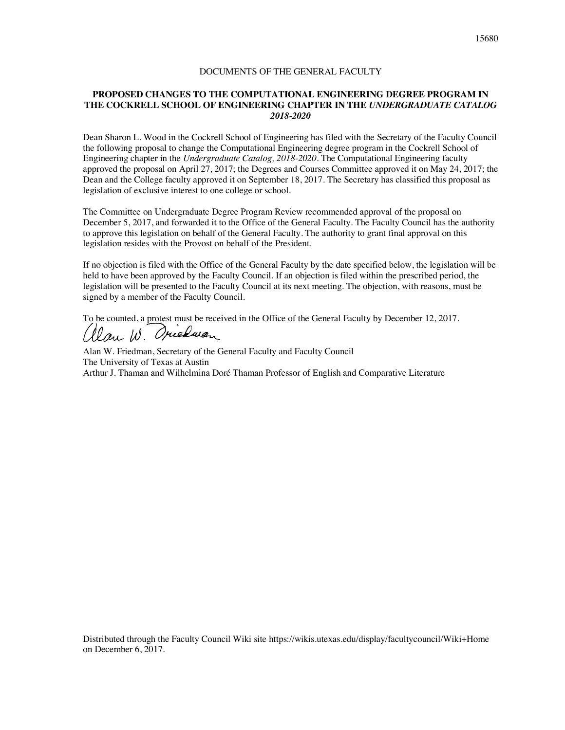#### DOCUMENTS OF THE GENERAL FACULTY

#### **PROPOSED CHANGES TO THE COMPUTATIONAL ENGINEERING DEGREE PROGRAM IN THE COCKRELL SCHOOL OF ENGINEERING CHAPTER IN THE** *UNDERGRADUATE CATALOG 2018-2020*

Dean Sharon L. Wood in the Cockrell School of Engineering has filed with the Secretary of the Faculty Council the following proposal to change the Computational Engineering degree program in the Cockrell School of Engineering chapter in the *Undergraduate Catalog, 2018-2020*. The Computational Engineering faculty approved the proposal on April 27, 2017; the Degrees and Courses Committee approved it on May 24, 2017; the Dean and the College faculty approved it on September 18, 2017. The Secretary has classified this proposal as legislation of exclusive interest to one college or school.

The Committee on Undergraduate Degree Program Review recommended approval of the proposal on December 5, 2017, and forwarded it to the Office of the General Faculty. The Faculty Council has the authority to approve this legislation on behalf of the General Faculty. The authority to grant final approval on this legislation resides with the Provost on behalf of the President.

If no objection is filed with the Office of the General Faculty by the date specified below, the legislation will be held to have been approved by the Faculty Council. If an objection is filed within the prescribed period, the legislation will be presented to the Faculty Council at its next meeting. The objection, with reasons, must be signed by a member of the Faculty Council.

To be counted, a protest must be received in the Office of the General Faculty by December 12, 2017. (Ilan W. Oriedwan

Alan W. Friedman, Secretary of the General Faculty and Faculty Council The University of Texas at Austin Arthur J. Thaman and Wilhelmina Doré Thaman Professor of English and Comparative Literature

Distributed through the Faculty Council Wiki site https://wikis.utexas.edu/display/facultycouncil/Wiki+Home on December 6, 2017.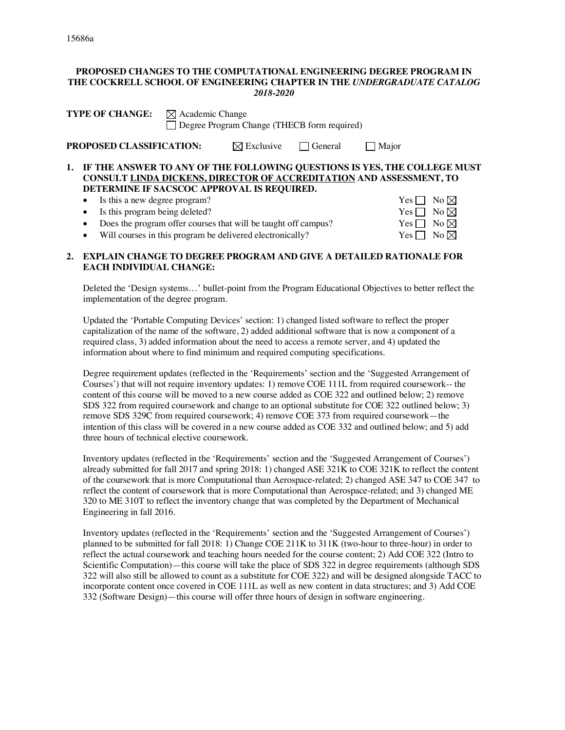#### **PROPOSED CHANGES TO THE COMPUTATIONAL ENGINEERING DEGREE PROGRAM IN THE COCKRELL SCHOOL OF ENGINEERING CHAPTER IN THE** *UNDERGRADUATE CATALOG 2018-2020*

| <b>TYPE OF CHANGE:</b> $\boxtimes$ Academic Change<br>Degree Program Change (THECB form required) |                                 |                                            |                                                   |                                                                                                                                                    |
|---------------------------------------------------------------------------------------------------|---------------------------------|--------------------------------------------|---------------------------------------------------|----------------------------------------------------------------------------------------------------------------------------------------------------|
| PROPOSED CLASSIFICATION:                                                                          |                                 |                                            | $\boxtimes$ Exclusive $\Box$ General $\Box$ Major |                                                                                                                                                    |
|                                                                                                   |                                 | DETERMINE IF SACSCOC APPROVAL IS REQUIRED. |                                                   | 1. IF THE ANSWER TO ANY OF THE FOLLOWING QUESTIONS IS YES, THE COLLEGE MUST<br>CONSULT LINDA DICKENS, DIRECTOR OF ACCREDITATION AND ASSESSMENT, TO |
|                                                                                                   | • Is this a new degree program? |                                            |                                                   | $Yes \Box No \boxtimes$                                                                                                                            |

• Is this program being deleted?

Does the program offer courses that will be taught off campus?

Will courses in this program be delivered electronically?

## **2. EXPLAIN CHANGE TO DEGREE PROGRAM AND GIVE A DETAILED RATIONALE FOR EACH INDIVIDUAL CHANGE:**

Deleted the 'Design systems…' bullet-point from the Program Educational Objectives to better reflect the implementation of the degree program.

Updated the 'Portable Computing Devices' section: 1) changed listed software to reflect the proper capitalization of the name of the software, 2) added additional software that is now a component of a required class, 3) added information about the need to access a remote server, and 4) updated the information about where to find minimum and required computing specifications.

Degree requirement updates (reflected in the 'Requirements' section and the 'Suggested Arrangement of Courses') that will not require inventory updates: 1) remove COE 111L from required coursework-- the content of this course will be moved to a new course added as COE 322 and outlined below; 2) remove SDS 322 from required coursework and change to an optional substitute for COE 322 outlined below; 3) remove SDS 329C from required coursework; 4) remove COE 373 from required coursework—the intention of this class will be covered in a new course added as COE 332 and outlined below; and 5) add three hours of technical elective coursework.

Inventory updates (reflected in the 'Requirements' section and the 'Suggested Arrangement of Courses') already submitted for fall 2017 and spring 2018: 1) changed ASE 321K to COE 321K to reflect the content of the coursework that is more Computational than Aerospace-related; 2) changed ASE 347 to COE 347 to reflect the content of coursework that is more Computational than Aerospace-related; and 3) changed ME 320 to ME 310T to reflect the inventory change that was completed by the Department of Mechanical Engineering in fall 2016.

Inventory updates (reflected in the 'Requirements' section and the 'Suggested Arrangement of Courses') planned to be submitted for fall 2018: 1) Change COE 211K to 311K (two-hour to three-hour) in order to reflect the actual coursework and teaching hours needed for the course content; 2) Add COE 322 (Intro to Scientific Computation)—this course will take the place of SDS 322 in degree requirements (although SDS 322 will also still be allowed to count as a substitute for COE 322) and will be designed alongside TACC to incorporate content once covered in COE 111L as well as new content in data structures; and 3) Add COE 332 (Software Design)—this course will offer three hours of design in software engineering.

| Yes $\Box$ | No $\boxtimes$ |
|------------|----------------|
| $Yes \Box$ | No $\boxtimes$ |
| Yes $\Box$ | No $\boxtimes$ |
| Yes $\Box$ | No $\boxtimes$ |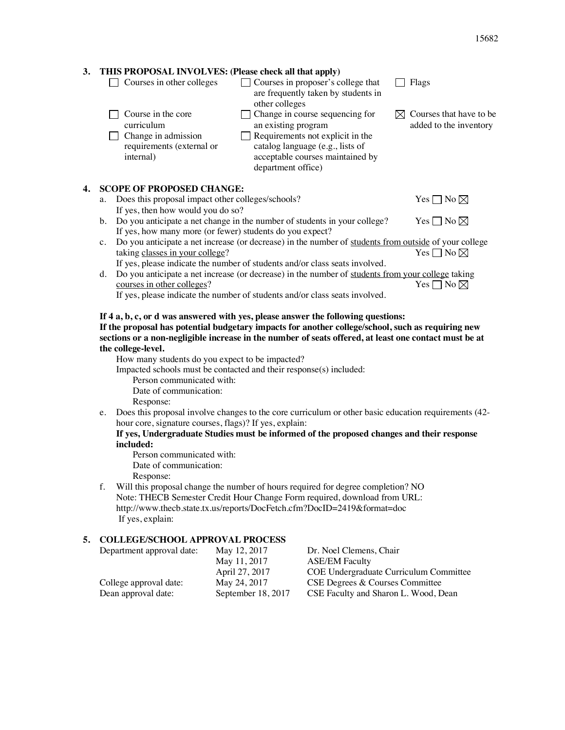# **3. THIS PROPOSAL INVOLVES: (Please check all that apply)**

 $\Box$  Courses in other colleges  $\Box$  Courses in proposer's college that  $\Box$  Flags are frequently taken by students in other colleges  $\Box$  Course in the core  $\Box$  Change in course sequencing for  $\boxtimes$  Courses that have to be curriculum an existing program added to the inventory Requirements not explicit in the  $\Box$  Change in admission  $\Box$ catalog language (e.g., lists of requirements (external or acceptable courses maintained by internal) department office) **4. SCOPE OF PROPOSED CHANGE:** a. Does this proposal impact other colleges/schools? Yes  $\Box$  No  $\boxtimes$ If yes, then how would you do so? b. Do you anticipate a net change in the number of students in your college? Yes  $\Box$  No  $\boxtimes$ If yes, how many more (or fewer) students do you expect? c. Do you anticipate a net increase (or decrease) in the number of students from outside of your college taking classes in your college?  $Yes \Box No \boxtimes$ If yes, please indicate the number of students and/or class seats involved. d. Do you anticipate a net increase (or decrease) in the number of students from your college taking courses in other colleges?  $\overline{Y}$ es  $\Box$  No  $\overline{\boxtimes}$ If yes, please indicate the number of students and/or class seats involved. **If 4 a, b, c, or d was answered with yes, please answer the following questions:**

# **If the proposal has potential budgetary impacts for another college/school, such as requiring new sections or a non-negligible increase in the number of seats offered, at least one contact must be at the college-level.**

How many students do you expect to be impacted?

Impacted schools must be contacted and their response(s) included:

Person communicated with: Date of communication: Response:

e. Does this proposal involve changes to the core curriculum or other basic education requirements (42 hour core, signature courses, flags)? If yes, explain:

# **If yes, Undergraduate Studies must be informed of the proposed changes and their response included:**

Person communicated with: Date of communication:

Response:

f. Will this proposal change the number of hours required for degree completion? NO Note: THECB Semester Credit Hour Change Form required, download from URL: http://www.thecb.state.tx.us/reports/DocFetch.cfm?DocID=2419&format=doc If yes, explain:

# **5. COLLEGE/SCHOOL APPROVAL PROCESS**

| May 12, 2017                       | Dr. Noel Clemens, Chair<br><b>ASE/EM Faculty</b>                        |
|------------------------------------|-------------------------------------------------------------------------|
| April 27, 2017                     | COE Undergraduate Curriculum Committee                                  |
| May 24, 2017<br>September 18, 2017 | CSE Degrees & Courses Committee<br>CSE Faculty and Sharon L. Wood, Dean |
|                                    | May 11, 2017                                                            |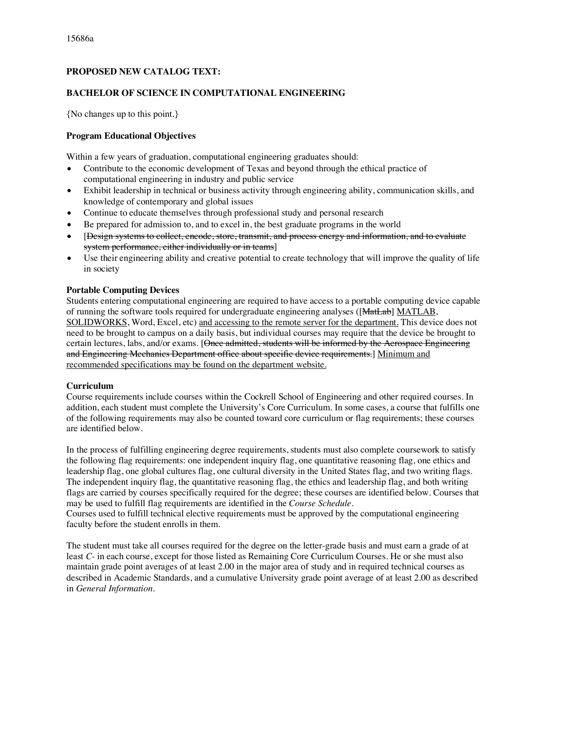### **PROPOSED NEW CATALOG TEXT:**

#### **BACHELOR OF SCIENCE IN COMPUTATIONAL ENGINEERING**

{No changes up to this point.}

#### **Program Educational Objectives**

Within a few years of graduation, computational engineering graduates should:

- Contribute to the economic development of Texas and beyond through the ethical practice of computational engineering in industry and public service
- Exhibit leadership in technical or business activity through engineering ability, communication skills, and knowledge of contemporary and global issues
- Continue to educate themselves through professional study and personal research
- Be prepared for admission to, and to excel in, the best graduate programs in the world
- [Design systems to collect, encode, store, transmit, and process energy and information, and to evaluate system performance, either individually or in teams]
- Use their engineering ability and creative potential to create technology that will improve the quality of life in society

#### **Portable Computing Devices**

Students entering computational engineering are required to have access to a portable computing device capable of running the software tools required for undergraduate engineering analyses ([MatLab] MATLAB, SOLIDWORKS, Word, Excel, etc) and accessing to the remote server for the department. This device does not need to be brought to campus on a daily basis, but individual courses may require that the device be brought to certain lectures, labs, and/or exams. [Once admitted, students will be informed by the Aerospace Engineering and Engineering Mechanics Department office about specific device requirements.] Minimum and recommended specifications may be found on the department website.

#### **Curriculum**

Course requirements include courses within the Cockrell School of Engineering and other required courses. In addition, each student must complete the University's Core Curriculum. In some cases, a course that fulfills one of the following requirements may also be counted toward core curriculum or flag requirements; these courses are identified below.

In the process of fulfilling engineering degree requirements, students must also complete coursework to satisfy the following flag requirements: one independent inquiry flag, one quantitative reasoning flag, one ethics and leadership flag, one global cultures flag, one cultural diversity in the United States flag, and two writing flags. The independent inquiry flag, the quantitative reasoning flag, the ethics and leadership flag, and both writing flags are carried by courses specifically required for the degree; these courses are identified below. Courses that may be used to fulfill flag requirements are identified in the *Course Schedule*.

Courses used to fulfill technical elective requirements must be approved by the computational engineering faculty before the student enrolls in them.

The student must take all courses required for the degree on the letter-grade basis and must earn a grade of at least *C-* in each course, except for those listed as Remaining Core Curriculum Courses. He or she must also maintain grade point averages of at least 2.00 in the major area of study and in required technical courses as described in Academic Standards, and a cumulative University grade point average of at least 2.00 as described in *General Information*.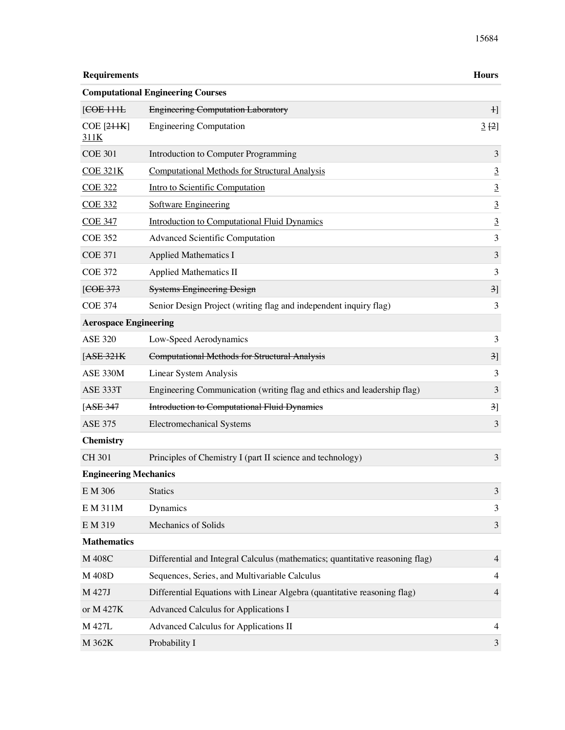| <b>Requirements</b>                 |                                                                               | <b>Hours</b>                |
|-------------------------------------|-------------------------------------------------------------------------------|-----------------------------|
|                                     | <b>Computational Engineering Courses</b>                                      |                             |
| [ <del>COE</del> 111 <del>L</del> ] | <b>Engineering Computation Laboratory</b>                                     | $\mathbf{H}$                |
| $COE$ $[2HK]$<br>311K               | <b>Engineering Computation</b>                                                | 3[2]                        |
| <b>COE 301</b>                      | Introduction to Computer Programming                                          | $\mathfrak{Z}$              |
| <b>COE 321K</b>                     | <b>Computational Methods for Structural Analysis</b>                          | $\overline{3}$              |
| <b>COE 322</b>                      | Intro to Scientific Computation                                               | $\overline{3}$              |
| <b>COE 332</b>                      | <b>Software Engineering</b>                                                   | $\overline{3}$              |
| <b>COE 347</b>                      | <b>Introduction to Computational Fluid Dynamics</b>                           | $\overline{3}$              |
| <b>COE 352</b>                      | <b>Advanced Scientific Computation</b>                                        | 3                           |
| <b>COE 371</b>                      | <b>Applied Mathematics I</b>                                                  | $\ensuremath{\mathfrak{Z}}$ |
| <b>COE 372</b>                      | <b>Applied Mathematics II</b>                                                 | 3                           |
| [ <del>COE</del> 373]               | <b>Systems Engineering Design</b>                                             | 3]                          |
| <b>COE 374</b>                      | Senior Design Project (writing flag and independent inquiry flag)             | 3                           |
| <b>Aerospace Engineering</b>        |                                                                               |                             |
| <b>ASE 320</b>                      | Low-Speed Aerodynamics                                                        | 3                           |
| [ASE 321K]                          | <b>Computational Methods for Structural Analysis</b>                          | 3]                          |
| ASE 330M                            | Linear System Analysis                                                        | 3                           |
| ASE 333T                            | Engineering Communication (writing flag and ethics and leadership flag)       | $\mathfrak{Z}$              |
| [ASE 347                            | <b>Introduction to Computational Fluid Dynamics</b>                           | 3]                          |
| <b>ASE 375</b>                      | <b>Electromechanical Systems</b>                                              | 3                           |
| <b>Chemistry</b>                    |                                                                               |                             |
| <b>CH 301</b>                       | Principles of Chemistry I (part II science and technology)                    | $\mathfrak{Z}$              |
| <b>Engineering Mechanics</b>        |                                                                               |                             |
| E M 306                             | <b>Statics</b>                                                                | $\ensuremath{\mathfrak{Z}}$ |
| E M 311M                            | Dynamics                                                                      | 3                           |
| E M 319                             | Mechanics of Solids                                                           | $\ensuremath{\mathfrak{Z}}$ |
| <b>Mathematics</b>                  |                                                                               |                             |
| M 408C                              | Differential and Integral Calculus (mathematics; quantitative reasoning flag) | $\overline{4}$              |
| M 408D                              | Sequences, Series, and Multivariable Calculus                                 | $\overline{4}$              |
| M 427J                              | Differential Equations with Linear Algebra (quantitative reasoning flag)      | $\overline{4}$              |
| or M 427K                           | Advanced Calculus for Applications I                                          |                             |
| M 427L                              | Advanced Calculus for Applications II                                         | 4                           |
| M 362K                              | Probability I                                                                 | 3                           |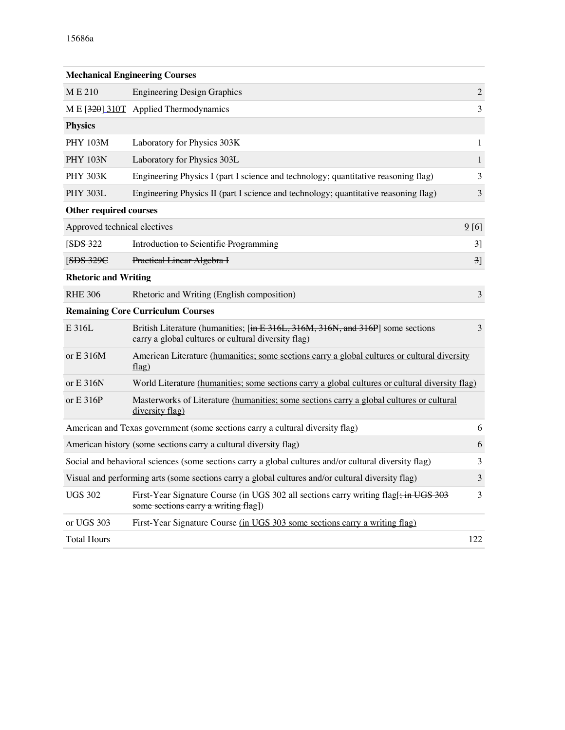|                               | <b>Mechanical Engineering Courses</b>                                                                                                  |                |
|-------------------------------|----------------------------------------------------------------------------------------------------------------------------------------|----------------|
| ME <sub>210</sub>             | <b>Engineering Design Graphics</b>                                                                                                     | $\mathbf{2}$   |
|                               | M E [320] 310T Applied Thermodynamics                                                                                                  | 3              |
| <b>Physics</b>                |                                                                                                                                        |                |
| <b>PHY 103M</b>               | Laboratory for Physics 303K                                                                                                            | 1              |
| <b>PHY 103N</b>               | Laboratory for Physics 303L                                                                                                            | $\mathbf{1}$   |
| <b>PHY 303K</b>               | Engineering Physics I (part I science and technology; quantitative reasoning flag)                                                     | 3              |
| <b>PHY 303L</b>               | Engineering Physics II (part I science and technology; quantitative reasoning flag)                                                    | 3              |
| <b>Other required courses</b> |                                                                                                                                        |                |
| Approved technical electives  | 9[6]                                                                                                                                   |                |
| [ <b>SDS</b> 322]             | <b>Introduction to Scientific Programming</b>                                                                                          | 3              |
| [SDS 329C                     | Practical Linear Algebra I                                                                                                             | 3 <sup>1</sup> |
| <b>Rhetoric and Writing</b>   |                                                                                                                                        |                |
| <b>RHE 306</b>                | Rhetoric and Writing (English composition)                                                                                             | 3              |
|                               | <b>Remaining Core Curriculum Courses</b>                                                                                               |                |
| E 316L                        | British Literature (humanities; [in E 316L, 316M, 316N, and 316P] some sections<br>carry a global cultures or cultural diversity flag) | 3              |
| or $E$ 316M                   | American Literature (humanities; some sections carry a global cultures or cultural diversity<br>flag)                                  |                |
| or $E$ 316N                   | World Literature (humanities; some sections carry a global cultures or cultural diversity flag)                                        |                |
| or $E$ 316P                   | Masterworks of Literature (humanities; some sections carry a global cultures or cultural<br>diversity flag)                            |                |
|                               | American and Texas government (some sections carry a cultural diversity flag)                                                          | 6              |
|                               | American history (some sections carry a cultural diversity flag)                                                                       | 6              |
|                               | Social and behavioral sciences (some sections carry a global cultures and/or cultural diversity flag)                                  | 3              |
|                               | Visual and performing arts (some sections carry a global cultures and/or cultural diversity flag)                                      | $\mathfrak{Z}$ |
| <b>UGS 302</b>                | First-Year Signature Course (in UGS 302 all sections carry writing flag[: in UGS 303<br>some sections carry a writing flag])           | 3              |
| or UGS 303                    | First-Year Signature Course (in UGS 303 some sections carry a writing flag)                                                            |                |
| <b>Total Hours</b>            | 122                                                                                                                                    |                |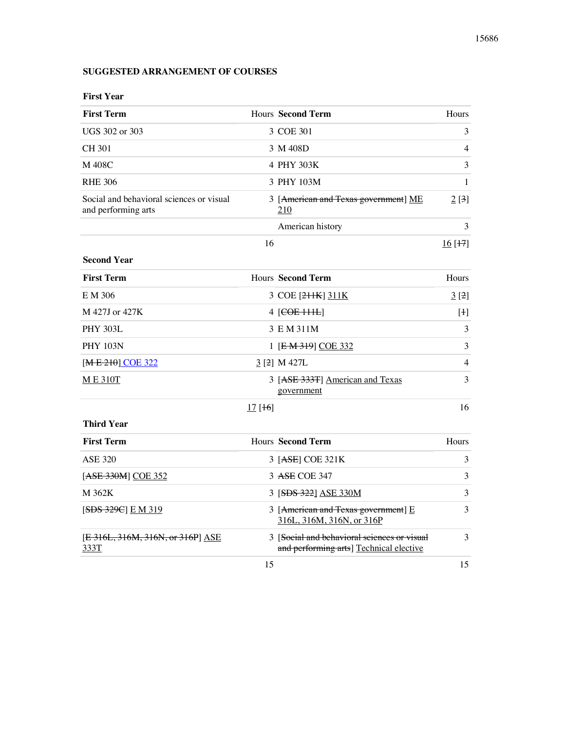# **SUGGESTED ARRANGEMENT OF COURSES**

| <b>First Year</b>                                               |        |                                                                                        |                |
|-----------------------------------------------------------------|--------|----------------------------------------------------------------------------------------|----------------|
| <b>First Term</b>                                               |        | <b>Hours Second Term</b>                                                               | Hours          |
| UGS 302 or 303                                                  |        | 3 COE 301                                                                              | 3              |
| <b>CH 301</b>                                                   |        | 3 M 408D                                                                               | 4              |
| M 408C                                                          |        | 4 PHY 303K                                                                             | 3              |
| <b>RHE 306</b>                                                  |        | 3 PHY 103M                                                                             | 1              |
| Social and behavioral sciences or visual<br>and performing arts |        | 3 [American and Texas government] ME<br>210                                            | 2 [3]          |
|                                                                 |        | American history                                                                       | 3              |
|                                                                 | 16     |                                                                                        | 16 [H]         |
| <b>Second Year</b>                                              |        |                                                                                        |                |
| <b>First Term</b>                                               |        | <b>Hours Second Term</b>                                                               | Hours          |
| E M 306                                                         |        | 3 COE [211K] 311K                                                                      | 3[2]           |
| M 427J or 427K                                                  |        | 4 [ <del>COE 111L</del> ]                                                              | [1]            |
| <b>PHY 303L</b>                                                 |        | 3 E M 311M                                                                             | 3              |
| <b>PHY 103N</b>                                                 |        | 1 [E M 319] COE 332                                                                    | 3              |
| [ <del>ME 210</del> ] COE 322                                   |        | $3$ [2] M 427L                                                                         | $\overline{4}$ |
| <b>ME310T</b>                                                   |        | 3 [ASE 333T] American and Texas<br>government                                          | 3              |
|                                                                 | 17[16] |                                                                                        | 16             |
| <b>Third Year</b>                                               |        |                                                                                        |                |
| <b>First Term</b>                                               |        | <b>Hours Second Term</b>                                                               | Hours          |
| <b>ASE 320</b>                                                  |        | 3 [ASE] COE 321K                                                                       | 3              |
| [ASE 330M] COE 352                                              |        | 3 ASE COE 347                                                                          | 3              |
| M 362K                                                          |        | 3 [SDS 322] ASE 330M                                                                   | 3              |
| [ <b>SDS</b> 329C] E M 319                                      |        | 3 [American and Texas government] E<br>316L, 316M, 316N, or 316P                       | 3              |
| [E 316L, 316M, 316N, or 316P] ASE<br>333T                       |        | 3 [Social and behavioral sciences or visual<br>and performing arts] Technical elective | 3              |
|                                                                 | 15     |                                                                                        | 15             |